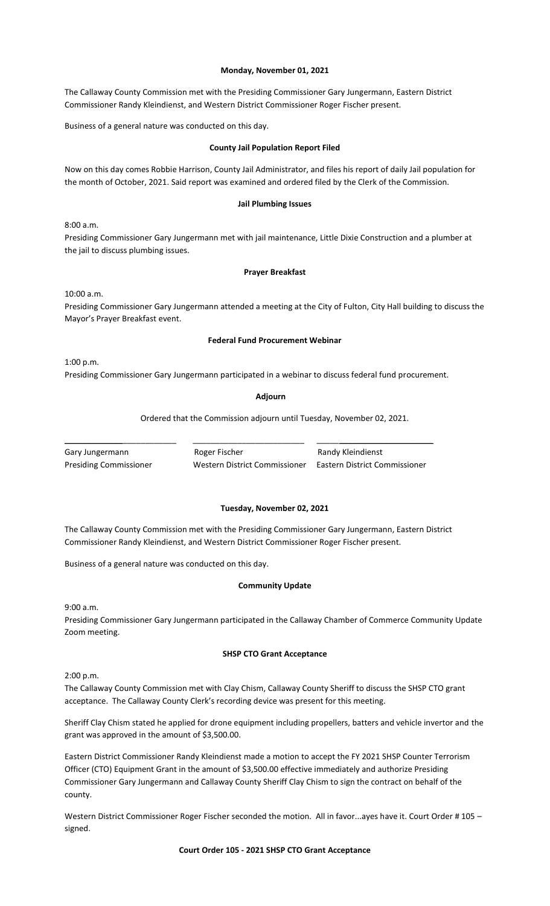### **Monday, November 01, 2021**

The Callaway County Commission met with the Presiding Commissioner Gary Jungermann, Eastern District Commissioner Randy Kleindienst, and Western District Commissioner Roger Fischer present.

Business of a general nature was conducted on this day.

#### **County Jail Population Report Filed**

Now on this day comes Robbie Harrison, County Jail Administrator, and files his report of daily Jail population for the month of October, 2021. Said report was examined and ordered filed by the Clerk of the Commission.

#### **Jail Plumbing Issues**

8:00 a.m.

Presiding Commissioner Gary Jungermann met with jail maintenance, Little Dixie Construction and a plumber at the jail to discuss plumbing issues.

#### **Prayer Breakfast**

10:00 a.m.

Presiding Commissioner Gary Jungermann attended a meeting at the City of Fulton, City Hall building to discuss the Mayor's Prayer Breakfast event.

#### **Federal Fund Procurement Webinar**

1:00 p.m.

Presiding Commissioner Gary Jungermann participated in a webinar to discuss federal fund procurement.

**Adjourn**

Ordered that the Commission adjourn until Tuesday, November 02, 2021.

Gary Jungermann **Roger Fischer** Randy Kleindienst

\_\_\_\_\_\_\_\_\_\_\_\_\_\_\_\_\_\_\_\_\_\_\_\_\_ \_\_\_\_\_\_\_\_\_\_\_\_\_\_\_\_\_\_\_\_\_\_\_\_\_ \_\_\_\_\_\_\_\_\_\_\_\_\_\_\_\_\_\_\_\_\_\_\_\_\_\_

Presiding Commissioner Western District Commissioner Eastern District Commissioner

#### **Tuesday, November 02, 2021**

The Callaway County Commission met with the Presiding Commissioner Gary Jungermann, Eastern District Commissioner Randy Kleindienst, and Western District Commissioner Roger Fischer present.

Business of a general nature was conducted on this day.

### **Community Update**

9:00 a.m.

Presiding Commissioner Gary Jungermann participated in the Callaway Chamber of Commerce Community Update Zoom meeting.

#### **SHSP CTO Grant Acceptance**

2:00 p.m.

The Callaway County Commission met with Clay Chism, Callaway County Sheriff to discuss the SHSP CTO grant acceptance. The Callaway County Clerk's recording device was present for this meeting.

Sheriff Clay Chism stated he applied for drone equipment including propellers, batters and vehicle invertor and the grant was approved in the amount of \$3,500.00.

Eastern District Commissioner Randy Kleindienst made a motion to accept the FY 2021 SHSP Counter Terrorism Officer (CTO) Equipment Grant in the amount of \$3,500.00 effective immediately and authorize Presiding Commissioner Gary Jungermann and Callaway County Sheriff Clay Chism to sign the contract on behalf of the county.

Western District Commissioner Roger Fischer seconded the motion. All in favor...ayes have it. Court Order #105 signed.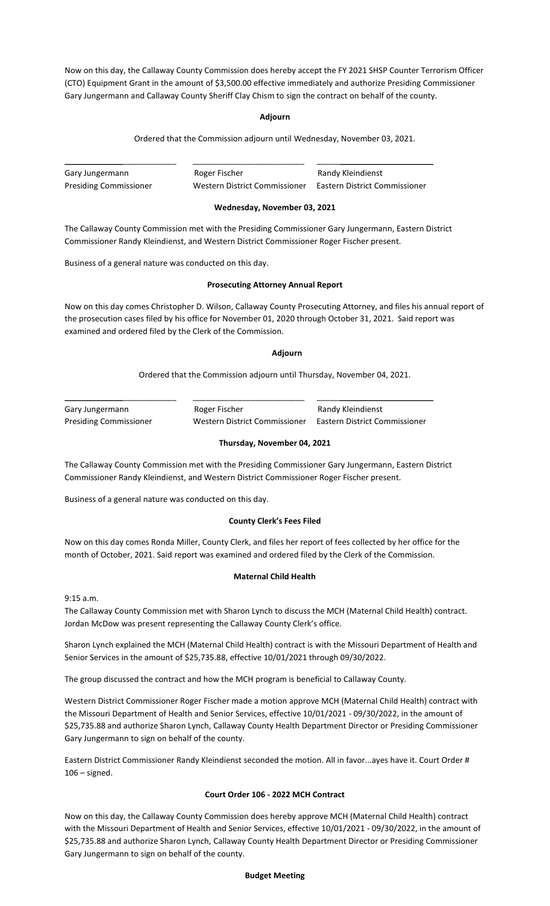Now on this day, the Callaway County Commission does hereby accept the FY 2021 SHSP Counter Terrorism Officer (CTO) Equipment Grant in the amount of \$3,500.00 effective immediately and authorize Presiding Commissioner Gary Jungermann and Callaway County Sheriff Clay Chism to sign the contract on behalf of the county.

### **Adjourn**

Ordered that the Commission adjourn until Wednesday, November 03, 2021.

| Gary Jungermann               | Roger Fischer                 | Randy Kleindienst             |
|-------------------------------|-------------------------------|-------------------------------|
| <b>Presiding Commissioner</b> | Western District Commissioner | Eastern District Commissioner |

# **Wednesday, November 03, 2021**

The Callaway County Commission met with the Presiding Commissioner Gary Jungermann, Eastern District Commissioner Randy Kleindienst, and Western District Commissioner Roger Fischer present.

Business of a general nature was conducted on this day.

# **Prosecuting Attorney Annual Report**

Now on this day comes Christopher D. Wilson, Callaway County Prosecuting Attorney, and files his annual report of the prosecution cases filed by his office for November 01, 2020 through October 31, 2021. Said report was examined and ordered filed by the Clerk of the Commission.

# **Adjourn**

Ordered that the Commission adjourn until Thursday, November 04, 2021.

Gary Jungermann **Roger Fischer** Randy Kleindienst

\_\_\_\_\_\_\_\_\_\_\_\_\_\_\_\_\_\_\_\_\_\_\_\_\_ \_\_\_\_\_\_\_\_\_\_\_\_\_\_\_\_\_\_\_\_\_\_\_\_\_ \_\_\_\_\_\_\_\_\_\_\_\_\_\_\_\_\_\_\_\_\_\_\_\_\_\_

Presiding Commissioner Western District Commissioner Eastern District Commissioner

# **Thursday, November 04, 2021**

The Callaway County Commission met with the Presiding Commissioner Gary Jungermann, Eastern District Commissioner Randy Kleindienst, and Western District Commissioner Roger Fischer present.

Business of a general nature was conducted on this day.

### **County Clerk's Fees Filed**

Now on this day comes Ronda Miller, County Clerk, and files her report of fees collected by her office for the month of October, 2021. Said report was examined and ordered filed by the Clerk of the Commission.

### **Maternal Child Health**

9:15 a.m.

The Callaway County Commission met with Sharon Lynch to discuss the MCH (Maternal Child Health) contract. Jordan McDow was present representing the Callaway County Clerk's office.

Sharon Lynch explained the MCH (Maternal Child Health) contract is with the Missouri Department of Health and Senior Services in the amount of \$25,735.88, effective 10/01/2021 through 09/30/2022.

The group discussed the contract and how the MCH program is beneficial to Callaway County.

Western District Commissioner Roger Fischer made a motion approve MCH (Maternal Child Health) contract with the Missouri Department of Health and Senior Services, effective 10/01/2021 - 09/30/2022, in the amount of \$25,735.88 and authorize Sharon Lynch, Callaway County Health Department Director or Presiding Commissioner Gary Jungermann to sign on behalf of the county.

Eastern District Commissioner Randy Kleindienst seconded the motion. All in favor...ayes have it. Court Order #  $106 -$  signed.

### **Court Order 106 - 2022 MCH Contract**

Now on this day, the Callaway County Commission does hereby approve MCH (Maternal Child Health) contract with the Missouri Department of Health and Senior Services, effective 10/01/2021 - 09/30/2022, in the amount of \$25,735.88 and authorize Sharon Lynch, Callaway County Health Department Director or Presiding Commissioner Gary Jungermann to sign on behalf of the county.

# **Budget Meeting**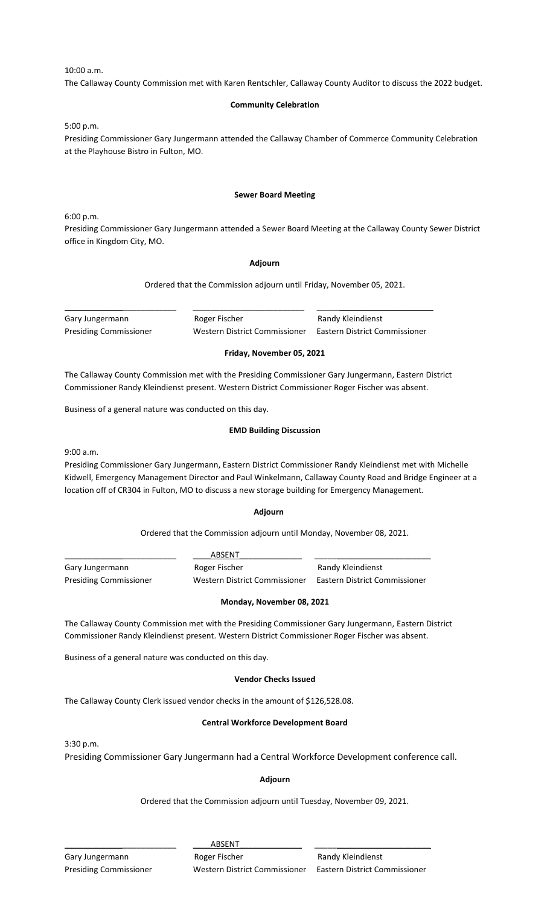10:00 a.m.

The Callaway County Commission met with Karen Rentschler, Callaway County Auditor to discuss the 2022 budget.

# **Community Celebration**

5:00 p.m.

Presiding Commissioner Gary Jungermann attended the Callaway Chamber of Commerce Community Celebration at the Playhouse Bistro in Fulton, MO.

### **Sewer Board Meeting**

6:00 p.m.

Presiding Commissioner Gary Jungermann attended a Sewer Board Meeting at the Callaway County Sewer District office in Kingdom City, MO.

### **Adjourn**

Ordered that the Commission adjourn until Friday, November 05, 2021.

Gary Jungermann **Roger Fischer** Randy Kleindienst

\_\_\_\_\_\_\_\_\_\_\_\_\_\_\_\_\_\_\_\_\_\_\_\_\_ \_\_\_\_\_\_\_\_\_\_\_\_\_\_\_\_\_\_\_\_\_\_\_\_\_ \_\_\_\_\_\_\_\_\_\_\_\_\_\_\_\_\_\_\_\_\_\_\_\_\_\_

Presiding Commissioner Western District Commissioner Eastern District Commissioner

# **Friday, November 05, 2021**

The Callaway County Commission met with the Presiding Commissioner Gary Jungermann, Eastern District Commissioner Randy Kleindienst present. Western District Commissioner Roger Fischer was absent.

Business of a general nature was conducted on this day.

### **EMD Building Discussion**

9:00 a.m.

Presiding Commissioner Gary Jungermann, Eastern District Commissioner Randy Kleindienst met with Michelle Kidwell, Emergency Management Director and Paul Winkelmann, Callaway County Road and Bridge Engineer at a location off of CR304 in Fulton, MO to discuss a new storage building for Emergency Management.

### **Adjourn**

Ordered that the Commission adjourn until Monday, November 08, 2021.

|                               | ABSENT                        |                               |  |
|-------------------------------|-------------------------------|-------------------------------|--|
| Gary Jungermann               | Roger Fischer                 | Randy Kleindienst             |  |
| <b>Presiding Commissioner</b> | Western District Commissioner | Eastern District Commissioner |  |

### **Monday, November 08, 2021**

The Callaway County Commission met with the Presiding Commissioner Gary Jungermann, Eastern District Commissioner Randy Kleindienst present. Western District Commissioner Roger Fischer was absent.

Business of a general nature was conducted on this day.

### **Vendor Checks Issued**

The Callaway County Clerk issued vendor checks in the amount of \$126,528.08.

# **Central Workforce Development Board**

3:30 p.m.

Presiding Commissioner Gary Jungermann had a Central Workforce Development conference call.

# **Adjourn**

Ordered that the Commission adjourn until Tuesday, November 09, 2021.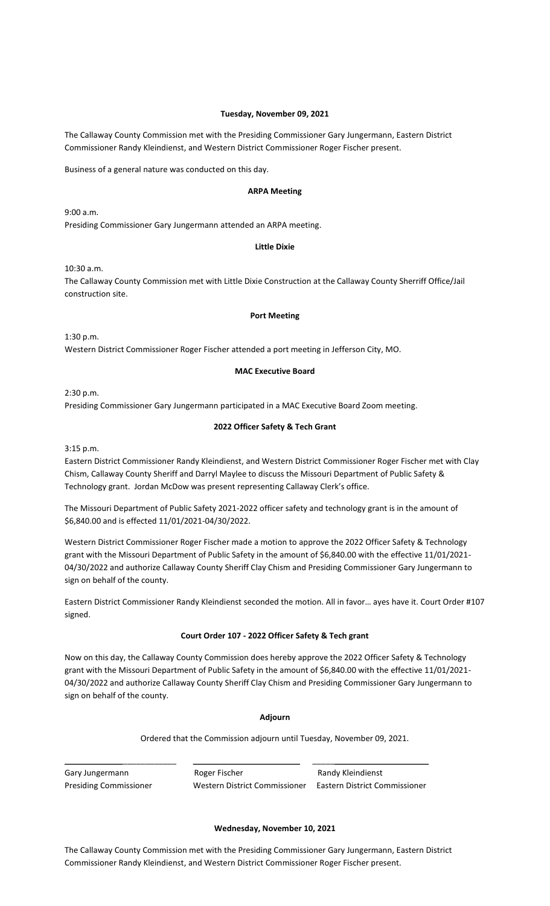### **Tuesday, November 09, 2021**

The Callaway County Commission met with the Presiding Commissioner Gary Jungermann, Eastern District Commissioner Randy Kleindienst, and Western District Commissioner Roger Fischer present.

Business of a general nature was conducted on this day.

# **ARPA Meeting**

9:00 a.m.

Presiding Commissioner Gary Jungermann attended an ARPA meeting.

# **Little Dixie**

10:30 a.m.

The Callaway County Commission met with Little Dixie Construction at the Callaway County Sherriff Office/Jail construction site.

### **Port Meeting**

1:30 p.m. Western District Commissioner Roger Fischer attended a port meeting in Jefferson City, MO.

# **MAC Executive Board**

2:30 p.m.

Presiding Commissioner Gary Jungermann participated in a MAC Executive Board Zoom meeting.

# **2022 Officer Safety & Tech Grant**

3:15 p.m.

Eastern District Commissioner Randy Kleindienst, and Western District Commissioner Roger Fischer met with Clay Chism, Callaway County Sheriff and Darryl Maylee to discuss the Missouri Department of Public Safety & Technology grant. Jordan McDow was present representing Callaway Clerk's office.

The Missouri Department of Public Safety 2021-2022 officer safety and technology grant is in the amount of \$6,840.00 and is effected 11/01/2021-04/30/2022.

Western District Commissioner Roger Fischer made a motion to approve the 2022 Officer Safety & Technology grant with the Missouri Department of Public Safety in the amount of \$6,840.00 with the effective 11/01/2021- 04/30/2022 and authorize Callaway County Sheriff Clay Chism and Presiding Commissioner Gary Jungermann to sign on behalf of the county.

Eastern District Commissioner Randy Kleindienst seconded the motion. All in favor… ayes have it. Court Order #107 signed.

### **Court Order 107 - 2022 Officer Safety & Tech grant**

Now on this day, the Callaway County Commission does hereby approve the 2022 Officer Safety & Technology grant with the Missouri Department of Public Safety in the amount of \$6,840.00 with the effective 11/01/2021- 04/30/2022 and authorize Callaway County Sheriff Clay Chism and Presiding Commissioner Gary Jungermann to sign on behalf of the county.

### **Adjourn**

Ordered that the Commission adjourn until Tuesday, November 09, 2021.

Gary Jungermann **Roger Fischer** Randy Kleindienst Presiding Commissioner Western District Commissioner Eastern District Commissioner

### **Wednesday, November 10, 2021**

The Callaway County Commission met with the Presiding Commissioner Gary Jungermann, Eastern District Commissioner Randy Kleindienst, and Western District Commissioner Roger Fischer present.

\_\_\_\_\_\_\_\_\_\_\_\_\_\_\_\_\_\_\_\_\_\_\_\_\_ \_\_\_\_\_\_\_\_\_\_\_\_\_\_\_\_\_\_\_\_\_\_\_\_ \_\_\_\_\_\_\_\_\_\_\_\_\_\_\_\_\_\_\_\_\_\_\_\_\_\_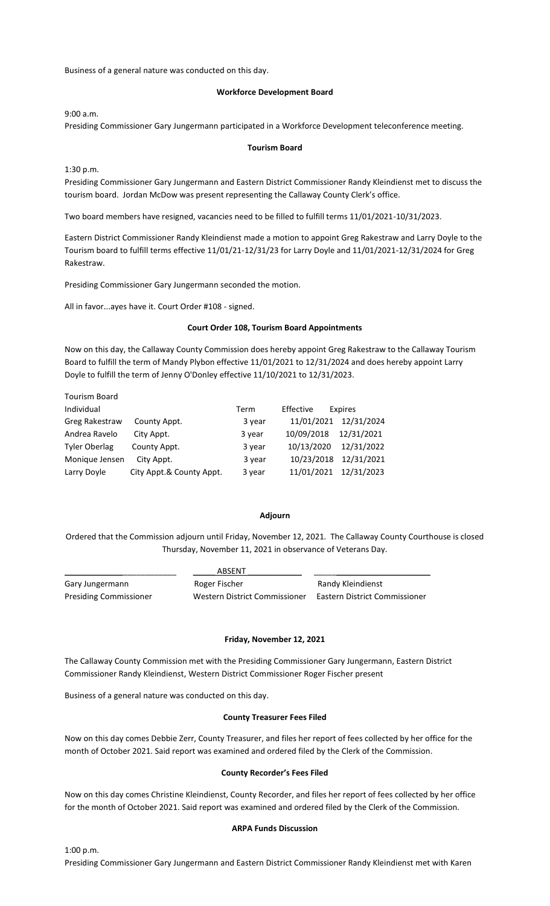Business of a general nature was conducted on this day.

#### **Workforce Development Board**

9:00 a.m.

Presiding Commissioner Gary Jungermann participated in a Workforce Development teleconference meeting.

#### **Tourism Board**

1:30 p.m.

Tourism Board

Presiding Commissioner Gary Jungermann and Eastern District Commissioner Randy Kleindienst met to discuss the tourism board. Jordan McDow was present representing the Callaway County Clerk's office.

Two board members have resigned, vacancies need to be filled to fulfill terms 11/01/2021-10/31/2023.

Eastern District Commissioner Randy Kleindienst made a motion to appoint Greg Rakestraw and Larry Doyle to the Tourism board to fulfill terms effective 11/01/21-12/31/23 for Larry Doyle and 11/01/2021-12/31/2024 for Greg Rakestraw.

Presiding Commissioner Gary Jungermann seconded the motion.

All in favor...ayes have it. Court Order #108 - signed.

#### **Court Order 108, Tourism Board Appointments**

Now on this day, the Callaway County Commission does hereby appoint Greg Rakestraw to the Callaway Tourism Board to fulfill the term of Mandy Plybon effective 11/01/2021 to 12/31/2024 and does hereby appoint Larry Doyle to fulfill the term of Jenny O'Donley effective 11/10/2021 to 12/31/2023.

|                          | Term   | Effective  | Expires                  |
|--------------------------|--------|------------|--------------------------|
| County Appt.             | 3 year |            | 12/31/2024               |
| City Appt.               | 3 year | 10/09/2018 | 12/31/2021               |
| County Appt.             | 3 year | 10/13/2020 | 12/31/2022               |
| City Appt.               | 3 year |            | 12/31/2021               |
| City Appt.& County Appt. | 3 year |            | 11/01/2021 12/31/2023    |
|                          |        |            | 11/01/2021<br>10/23/2018 |

#### **Adjourn**

Ordered that the Commission adjourn until Friday, November 12, 2021. The Callaway County Courthouse is closed Thursday, November 11, 2021 in observance of Veterans Day.

|                        | <b>ABSENT</b>                 |                               |
|------------------------|-------------------------------|-------------------------------|
| Gary Jungermann        | Roger Fischer                 | Randy Kleindienst             |
| Presiding Commissioner | Western District Commissioner | Eastern District Commissioner |

### **Friday, November 12, 2021**

The Callaway County Commission met with the Presiding Commissioner Gary Jungermann, Eastern District Commissioner Randy Kleindienst, Western District Commissioner Roger Fischer present

Business of a general nature was conducted on this day.

#### **County Treasurer Fees Filed**

Now on this day comes Debbie Zerr, County Treasurer, and files her report of fees collected by her office for the month of October 2021. Said report was examined and ordered filed by the Clerk of the Commission.

#### **County Recorder's Fees Filed**

Now on this day comes Christine Kleindienst, County Recorder, and files her report of fees collected by her office for the month of October 2021. Said report was examined and ordered filed by the Clerk of the Commission.

#### **ARPA Funds Discussion**

1:00 p.m. Presiding Commissioner Gary Jungermann and Eastern District Commissioner Randy Kleindienst met with Karen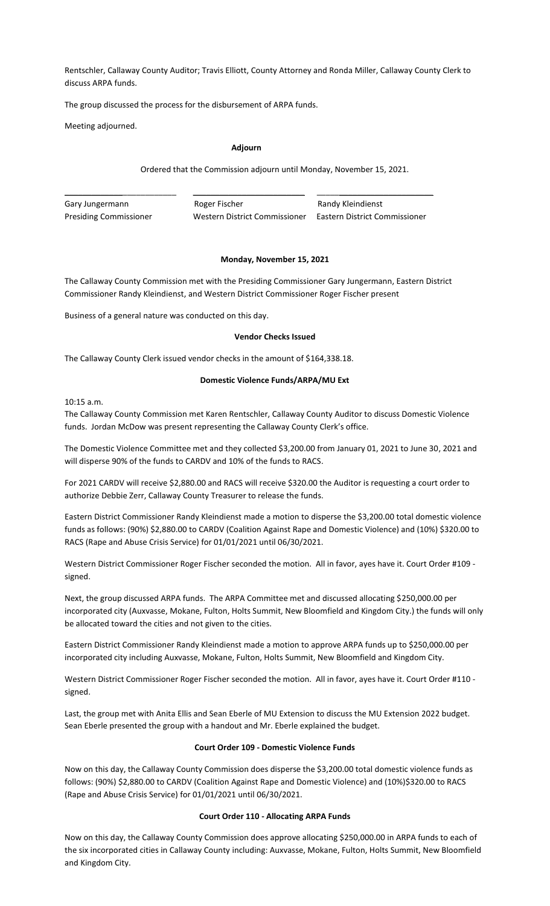Rentschler, Callaway County Auditor; Travis Elliott, County Attorney and Ronda Miller, Callaway County Clerk to discuss ARPA funds.

The group discussed the process for the disbursement of ARPA funds.

Meeting adjourned.

#### **Adjourn**

Ordered that the Commission adjourn until Monday, November 15, 2021.

\_\_\_\_\_\_\_\_\_\_\_\_\_\_\_\_\_\_\_\_\_\_\_\_\_ \_\_\_\_\_\_\_\_\_\_\_\_\_\_\_\_\_\_\_\_\_\_\_\_\_ \_\_\_\_\_\_\_\_\_\_\_\_\_\_\_\_\_\_\_\_\_\_\_\_\_\_ Gary Jungermann **Roger Fischer** Randy Kleindienst Presiding Commissioner Western District Commissioner Eastern District Commissioner

### **Monday, November 15, 2021**

The Callaway County Commission met with the Presiding Commissioner Gary Jungermann, Eastern District Commissioner Randy Kleindienst, and Western District Commissioner Roger Fischer present

Business of a general nature was conducted on this day.

#### **Vendor Checks Issued**

The Callaway County Clerk issued vendor checks in the amount of \$164,338.18.

### **Domestic Violence Funds/ARPA/MU Ext**

10:15 a.m.

The Callaway County Commission met Karen Rentschler, Callaway County Auditor to discuss Domestic Violence funds. Jordan McDow was present representing the Callaway County Clerk's office.

The Domestic Violence Committee met and they collected \$3,200.00 from January 01, 2021 to June 30, 2021 and will disperse 90% of the funds to CARDV and 10% of the funds to RACS.

For 2021 CARDV will receive \$2,880.00 and RACS will receive \$320.00 the Auditor is requesting a court order to authorize Debbie Zerr, Callaway County Treasurer to release the funds.

Eastern District Commissioner Randy Kleindienst made a motion to disperse the \$3,200.00 total domestic violence funds as follows: (90%) \$2,880.00 to CARDV (Coalition Against Rape and Domestic Violence) and (10%) \$320.00 to RACS (Rape and Abuse Crisis Service) for 01/01/2021 until 06/30/2021.

Western District Commissioner Roger Fischer seconded the motion. All in favor, ayes have it. Court Order #109 signed.

Next, the group discussed ARPA funds. The ARPA Committee met and discussed allocating \$250,000.00 per incorporated city (Auxvasse, Mokane, Fulton, Holts Summit, New Bloomfield and Kingdom City.) the funds will only be allocated toward the cities and not given to the cities.

Eastern District Commissioner Randy Kleindienst made a motion to approve ARPA funds up to \$250,000.00 per incorporated city including Auxvasse, Mokane, Fulton, Holts Summit, New Bloomfield and Kingdom City.

Western District Commissioner Roger Fischer seconded the motion. All in favor, ayes have it. Court Order #110 signed.

Last, the group met with Anita Ellis and Sean Eberle of MU Extension to discuss the MU Extension 2022 budget. Sean Eberle presented the group with a handout and Mr. Eberle explained the budget.

### **Court Order 109 - Domestic Violence Funds**

Now on this day, the Callaway County Commission does disperse the \$3,200.00 total domestic violence funds as follows: (90%) \$2,880.00 to CARDV (Coalition Against Rape and Domestic Violence) and (10%)\$320.00 to RACS (Rape and Abuse Crisis Service) for 01/01/2021 until 06/30/2021.

### **Court Order 110 - Allocating ARPA Funds**

Now on this day, the Callaway County Commission does approve allocating \$250,000.00 in ARPA funds to each of the six incorporated cities in Callaway County including: Auxvasse, Mokane, Fulton, Holts Summit, New Bloomfield and Kingdom City.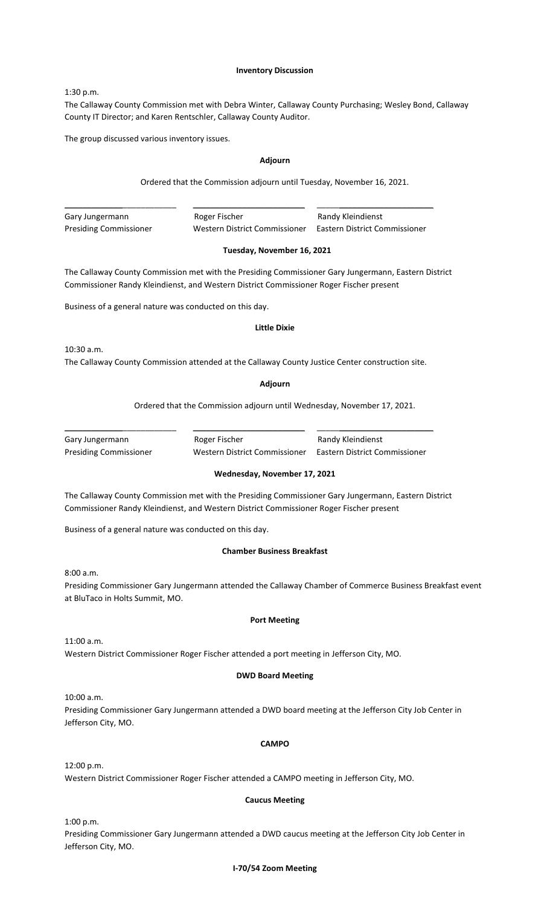#### **Inventory Discussion**

1:30 p.m.

The Callaway County Commission met with Debra Winter, Callaway County Purchasing; Wesley Bond, Callaway County IT Director; and Karen Rentschler, Callaway County Auditor.

The group discussed various inventory issues.

### **Adjourn**

Ordered that the Commission adjourn until Tuesday, November 16, 2021.

\_\_\_\_\_\_\_\_\_\_\_\_\_\_\_\_\_\_\_\_\_\_\_\_\_ \_\_\_\_\_\_\_\_\_\_\_\_\_\_\_\_\_\_\_\_\_\_\_\_\_ \_\_\_\_\_\_\_\_\_\_\_\_\_\_\_\_\_\_\_\_\_\_\_\_\_\_ Gary Jungermann **Roger Fischer** Randy Kleindienst

Presiding Commissioner Western District Commissioner Eastern District Commissioner

### **Tuesday, November 16, 2021**

The Callaway County Commission met with the Presiding Commissioner Gary Jungermann, Eastern District Commissioner Randy Kleindienst, and Western District Commissioner Roger Fischer present

Business of a general nature was conducted on this day.

#### **Little Dixie**

10:30 a.m.

The Callaway County Commission attended at the Callaway County Justice Center construction site.

\_\_\_\_\_\_\_\_\_\_\_\_\_\_\_\_\_\_\_\_\_\_\_\_\_ \_\_\_\_\_\_\_\_\_\_\_\_\_\_\_\_\_\_\_\_\_\_\_\_\_ \_\_\_\_\_\_\_\_\_\_\_\_\_\_\_\_\_\_\_\_\_\_\_\_\_\_

**Adjourn**

Ordered that the Commission adjourn until Wednesday, November 17, 2021.

Gary Jungermann **Roger Fischer** Romes Randy Kleindienst Presiding Commissioner Western District Commissioner Eastern District Commissioner

# **Wednesday, November 17, 2021**

The Callaway County Commission met with the Presiding Commissioner Gary Jungermann, Eastern District Commissioner Randy Kleindienst, and Western District Commissioner Roger Fischer present

Business of a general nature was conducted on this day.

# **Chamber Business Breakfast**

8:00 a.m.

Presiding Commissioner Gary Jungermann attended the Callaway Chamber of Commerce Business Breakfast event at BluTaco in Holts Summit, MO.

### **Port Meeting**

11:00 a.m.

Western District Commissioner Roger Fischer attended a port meeting in Jefferson City, MO.

### **DWD Board Meeting**

10:00 a.m.

Presiding Commissioner Gary Jungermann attended a DWD board meeting at the Jefferson City Job Center in Jefferson City, MO.

## **CAMPO**

12:00 p.m.

Western District Commissioner Roger Fischer attended a CAMPO meeting in Jefferson City, MO.

### **Caucus Meeting**

1:00 p.m.

Presiding Commissioner Gary Jungermann attended a DWD caucus meeting at the Jefferson City Job Center in Jefferson City, MO.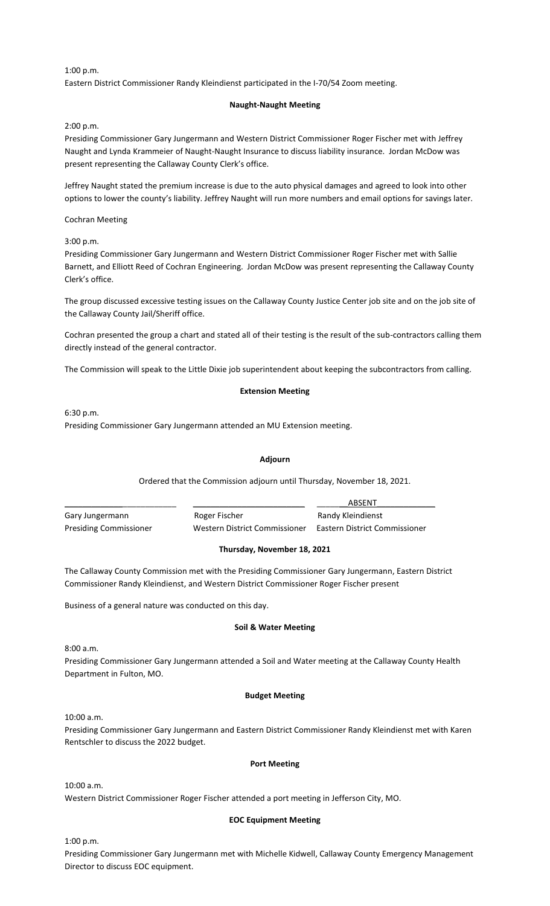1:00 p.m.

Eastern District Commissioner Randy Kleindienst participated in the I-70/54 Zoom meeting.

### **Naught-Naught Meeting**

2:00 p.m.

Presiding Commissioner Gary Jungermann and Western District Commissioner Roger Fischer met with Jeffrey Naught and Lynda Krammeier of Naught-Naught Insurance to discuss liability insurance. Jordan McDow was present representing the Callaway County Clerk's office.

Jeffrey Naught stated the premium increase is due to the auto physical damages and agreed to look into other options to lower the county's liability. Jeffrey Naught will run more numbers and email options for savings later.

Cochran Meeting

3:00 p.m.

Presiding Commissioner Gary Jungermann and Western District Commissioner Roger Fischer met with Sallie Barnett, and Elliott Reed of Cochran Engineering. Jordan McDow was present representing the Callaway County Clerk's office.

The group discussed excessive testing issues on the Callaway County Justice Center job site and on the job site of the Callaway County Jail/Sheriff office.

Cochran presented the group a chart and stated all of their testing is the result of the sub-contractors calling them directly instead of the general contractor.

The Commission will speak to the Little Dixie job superintendent about keeping the subcontractors from calling.

#### **Extension Meeting**

6:30 p.m.

Presiding Commissioner Gary Jungermann attended an MU Extension meeting.

### **Adjourn**

Ordered that the Commission adjourn until Thursday, November 18, 2021.

|                               |                               | ABSENT                        |
|-------------------------------|-------------------------------|-------------------------------|
| Gary Jungermann               | Roger Fischer                 | Randy Kleindienst             |
| <b>Presiding Commissioner</b> | Western District Commissioner | Eastern District Commissioner |

### **Thursday, November 18, 2021**

The Callaway County Commission met with the Presiding Commissioner Gary Jungermann, Eastern District Commissioner Randy Kleindienst, and Western District Commissioner Roger Fischer present

Business of a general nature was conducted on this day.

#### **Soil & Water Meeting**

8:00 a.m.

Presiding Commissioner Gary Jungermann attended a Soil and Water meeting at the Callaway County Health Department in Fulton, MO.

### **Budget Meeting**

10:00 a.m.

Presiding Commissioner Gary Jungermann and Eastern District Commissioner Randy Kleindienst met with Karen Rentschler to discuss the 2022 budget.

### **Port Meeting**

10:00 a.m.

Western District Commissioner Roger Fischer attended a port meeting in Jefferson City, MO.

### **EOC Equipment Meeting**

1:00 p.m.

Presiding Commissioner Gary Jungermann met with Michelle Kidwell, Callaway County Emergency Management Director to discuss EOC equipment.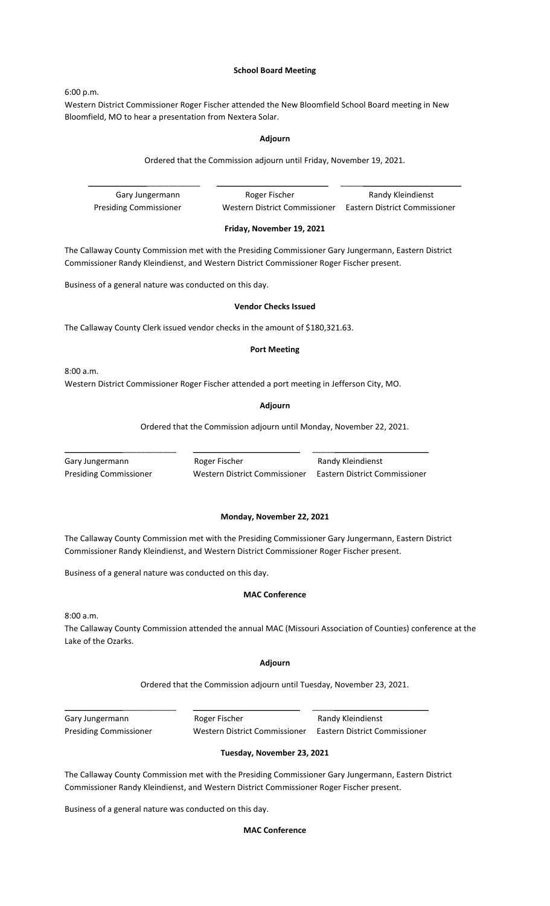# **School Board Meeting**

6:00 p.m.

Western District Commissioner Roger Fischer attended the New Bloomfield School Board meeting in New Bloomfield, MO to hear a presentation from Nextera Solar.

#### **Adjourn**

Ordered that the Commission adjourn until Friday, November 19, 2021.

\_\_\_\_\_\_\_\_\_\_\_\_\_\_\_\_\_\_\_\_\_\_\_\_\_ \_\_\_\_\_\_\_\_\_\_\_\_\_\_\_\_\_\_\_\_\_\_\_\_\_ \_\_\_\_\_\_\_\_\_\_\_\_\_\_\_\_\_\_\_\_\_\_\_\_\_\_\_ Gary Jungermann **Roger Fischer** Randy Kleindienst Presiding Commissioner Western District Commissioner Eastern District Commissioner

#### **Friday, November 19, 2021**

The Callaway County Commission met with the Presiding Commissioner Gary Jungermann, Eastern District Commissioner Randy Kleindienst, and Western District Commissioner Roger Fischer present.

Business of a general nature was conducted on this day.

#### **Vendor Checks Issued**

The Callaway County Clerk issued vendor checks in the amount of \$180,321.63.

#### **Port Meeting**

8:00 a.m.

Western District Commissioner Roger Fischer attended a port meeting in Jefferson City, MO.

#### **Adjourn**

Ordered that the Commission adjourn until Monday, November 22, 2021.

| Gary Jungermann              |
|------------------------------|
| <b>Presiding Commissione</b> |

\_\_\_\_\_\_\_\_\_\_\_\_\_\_\_\_\_\_\_\_\_\_\_\_\_ \_\_\_\_\_\_\_\_\_\_\_\_\_\_\_\_\_\_\_\_\_\_\_\_ \_\_\_\_\_\_\_\_\_\_\_\_\_\_\_\_\_\_\_\_\_\_\_\_\_\_

Roger Fischer **Randy Kleindienst** Western District Commissioner Eastern District Commissioner

#### **Monday, November 22, 2021**

The Callaway County Commission met with the Presiding Commissioner Gary Jungermann, Eastern District Commissioner Randy Kleindienst, and Western District Commissioner Roger Fischer present.

Business of a general nature was conducted on this day.

#### **MAC Conference**

8:00 a.m.

The Callaway County Commission attended the annual MAC (Missouri Association of Counties) conference at the Lake of the Ozarks.

#### **Adjourn**

Ordered that the Commission adjourn until Tuesday, November 23, 2021.

Gary Jungermann **Roger Fischer** Randy Kleindienst

\_\_\_\_\_\_\_\_\_\_\_\_\_\_\_\_\_\_\_\_\_\_\_\_\_ \_\_\_\_\_\_\_\_\_\_\_\_\_\_\_\_\_\_\_\_\_\_\_\_ \_\_\_\_\_\_\_\_\_\_\_\_\_\_\_\_\_\_\_\_\_\_\_\_\_\_

Presiding Commissioner Western District Commissioner Eastern District Commissioner

### **Tuesday, November 23, 2021**

The Callaway County Commission met with the Presiding Commissioner Gary Jungermann, Eastern District Commissioner Randy Kleindienst, and Western District Commissioner Roger Fischer present.

Business of a general nature was conducted on this day.

#### **MAC Conference**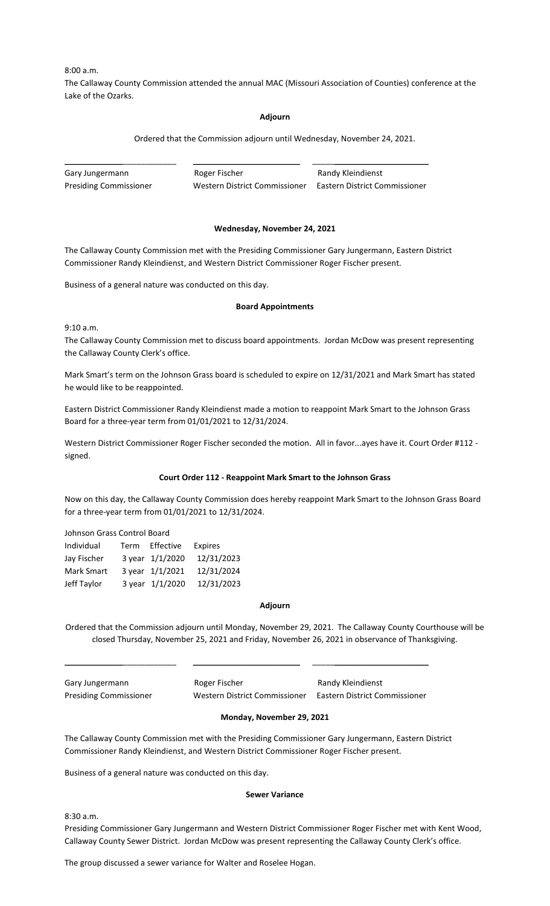8:00 a.m.

The Callaway County Commission attended the annual MAC (Missouri Association of Counties) conference at the Lake of the Ozarks.

#### **Adjourn**

Ordered that the Commission adjourn until Wednesday, November 24, 2021.

| Gary Jungermann               | Roger Fischer                 | Randy Kleindienst             |
|-------------------------------|-------------------------------|-------------------------------|
| <b>Presiding Commissioner</b> | Western District Commissioner | Eastern District Commissioner |

#### **Wednesday, November 24, 2021**

The Callaway County Commission met with the Presiding Commissioner Gary Jungermann, Eastern District Commissioner Randy Kleindienst, and Western District Commissioner Roger Fischer present.

Business of a general nature was conducted on this day.

#### **Board Appointments**

9:10 a.m.

The Callaway County Commission met to discuss board appointments. Jordan McDow was present representing the Callaway County Clerk's office.

Mark Smart's term on the Johnson Grass board is scheduled to expire on 12/31/2021 and Mark Smart has stated he would like to be reappointed.

Eastern District Commissioner Randy Kleindienst made a motion to reappoint Mark Smart to the Johnson Grass Board for a three-year term from 01/01/2021 to 12/31/2024.

Western District Commissioner Roger Fischer seconded the motion. All in favor...ayes have it. Court Order #112 signed.

#### **Court Order 112 - Reappoint Mark Smart to the Johnson Grass**

Now on this day, the Callaway County Commission does hereby reappoint Mark Smart to the Johnson Grass Board for a three-year term from 01/01/2021 to 12/31/2024.

Johnson Grass Control Board

| Individual        | Term | Effective       | <b>Expires</b> |
|-------------------|------|-----------------|----------------|
| Jay Fischer       |      | 3 year 1/1/2020 | 12/31/2023     |
| <b>Mark Smart</b> |      | 3 year 1/1/2021 | 12/31/2024     |
| Jeff Taylor       |      | 3 year 1/1/2020 | 12/31/2023     |

#### **Adjourn**

Ordered that the Commission adjourn until Monday, November 29, 2021. The Callaway County Courthouse will be closed Thursday, November 25, 2021 and Friday, November 26, 2021 in observance of Thanksgiving.

Gary Jungermann **Roger Fischer** Randy Kleindienst Presiding Commissioner Western District Commissioner Eastern District Commissioner

### **Monday, November 29, 2021**

The Callaway County Commission met with the Presiding Commissioner Gary Jungermann, Eastern District Commissioner Randy Kleindienst, and Western District Commissioner Roger Fischer present.

\_\_\_\_\_\_\_\_\_\_\_\_\_\_\_\_\_\_\_\_\_\_\_\_\_ \_\_\_\_\_\_\_\_\_\_\_\_\_\_\_\_\_\_\_\_\_\_\_\_ \_\_\_\_\_\_\_\_\_\_\_\_\_\_\_\_\_\_\_\_\_\_\_\_\_\_

Business of a general nature was conducted on this day.

#### **Sewer Variance**

8:30 a.m.

Presiding Commissioner Gary Jungermann and Western District Commissioner Roger Fischer met with Kent Wood, Callaway County Sewer District. Jordan McDow was present representing the Callaway County Clerk's office.

The group discussed a sewer variance for Walter and Roselee Hogan.